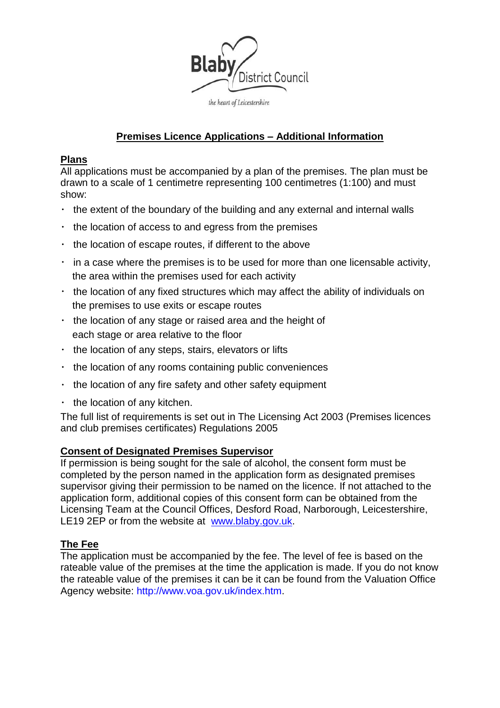

# **Premises Licence Applications – Additional Information**

### **Plans**

All applications must be accompanied by a plan of the premises. The plan must be drawn to a scale of 1 centimetre representing 100 centimetres (1:100) and must show:

- $\cdot$  the extent of the boundary of the building and any external and internal walls
- $\cdot$  the location of access to and egress from the premises
- $\cdot$  the location of escape routes, if different to the above
- $\cdot$  in a case where the premises is to be used for more than one licensable activity, the area within the premises used for each activity
- $\cdot$  the location of any fixed structures which may affect the ability of individuals on the premises to use exits or escape routes
- $\cdot$  the location of any stage or raised area and the height of each stage or area relative to the floor
- $\cdot$  the location of any steps, stairs, elevators or lifts
- $\cdot$  the location of any rooms containing public conveniences
- $\cdot$  the location of any fire safety and other safety equipment
- $\cdot$  the location of any kitchen.

The full list of requirements is set out in The Licensing Act 2003 (Premises licences and club premises certificates) Regulations 2005

# **Consent of Designated Premises Supervisor**

If permission is being sought for the sale of alcohol, the consent form must be completed by the person named in the application form as designated premises supervisor giving their permission to be named on the licence. If not attached to the application form, additional copies of this consent form can be obtained from the Licensing Team at the Council Offices, Desford Road, Narborough, Leicestershire, LE19 2EP or from the website at [www.blaby.gov.uk.](http://www.blaby.gov.uk/)

# **The Fee**

The application must be accompanied by the fee. The level of fee is based on the rateable value of the premises at the time the application is made. If you do not know the rateable value of the premises it can be it can be found from the Valuation Office Agency website: http://www.voa.gov.uk/index.htm.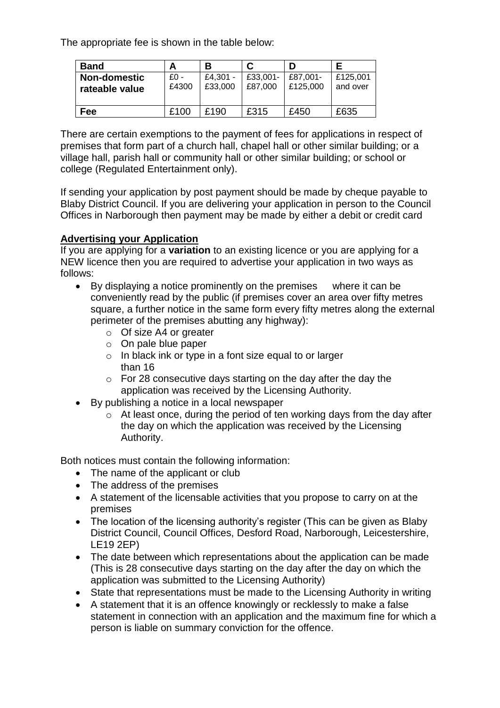The appropriate fee is shown in the table below:

| <b>Band</b>                           |               | в                   |                     |                      |                      |
|---------------------------------------|---------------|---------------------|---------------------|----------------------|----------------------|
| <b>Non-domestic</b><br>rateable value | £0 -<br>£4300 | £4.301 -<br>£33,000 | £33,001-<br>£87,000 | £87,001-<br>£125,000 | £125,001<br>and over |
| Fee                                   | £100          | £190                | £315                | £450                 | £635                 |

There are certain exemptions to the payment of fees for applications in respect of premises that form part of a church hall, chapel hall or other similar building; or a village hall, parish hall or community hall or other similar building; or school or college (Regulated Entertainment only).

If sending your application by post payment should be made by cheque payable to Blaby District Council. If you are delivering your application in person to the Council Offices in Narborough then payment may be made by either a debit or credit card

# **Advertising your Application**

If you are applying for a **variation** to an existing licence or you are applying for a NEW licence then you are required to advertise your application in two ways as follows:

- By displaying a notice prominently on the premises where it can be conveniently read by the public (if premises cover an area over fifty metres square, a further notice in the same form every fifty metres along the external perimeter of the premises abutting any highway):
	- o Of size A4 or greater
	- o On pale blue paper
	- o In black ink or type in a font size equal to or larger than 16
	- o For 28 consecutive days starting on the day after the day the application was received by the Licensing Authority.
- By publishing a notice in a local newspaper
	- o At least once, during the period of ten working days from the day after the day on which the application was received by the Licensing Authority.

Both notices must contain the following information:

- The name of the applicant or club
- The address of the premises
- A statement of the licensable activities that you propose to carry on at the premises
- The location of the licensing authority's register (This can be given as Blaby District Council, Council Offices, Desford Road, Narborough, Leicestershire, LE19 2EP)
- The date between which representations about the application can be made (This is 28 consecutive days starting on the day after the day on which the application was submitted to the Licensing Authority)
- State that representations must be made to the Licensing Authority in writing
- A statement that it is an offence knowingly or recklessly to make a false statement in connection with an application and the maximum fine for which a person is liable on summary conviction for the offence.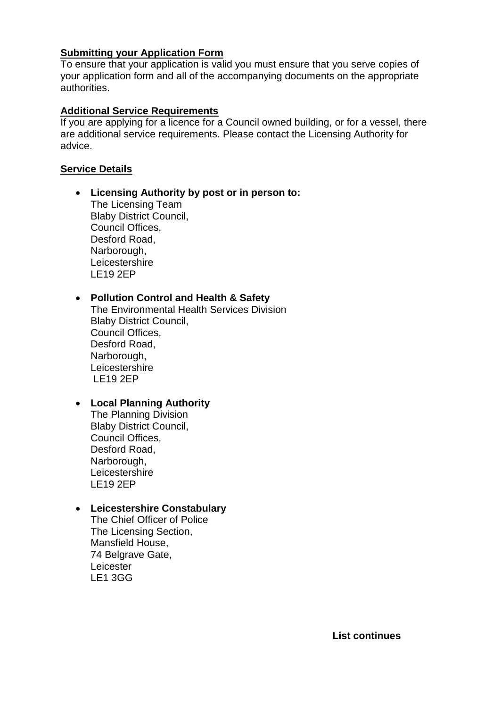### **Submitting your Application Form**

To ensure that your application is valid you must ensure that you serve copies of your application form and all of the accompanying documents on the appropriate authorities.

### **Additional Service Requirements**

If you are applying for a licence for a Council owned building, or for a vessel, there are additional service requirements. Please contact the Licensing Authority for advice.

### **Service Details**

**Licensing Authority by post or in person to:**

The Licensing Team Blaby District Council, Council Offices, Desford Road, Narborough, **Leicestershire** LE19 2EP

# **Pollution Control and Health & Safety**

The Environmental Health Services Division Blaby District Council, Council Offices, Desford Road, Narborough, **Leicestershire** LE19 2EP

# **Local Planning Authority**

The Planning Division Blaby District Council, Council Offices, Desford Road, Narborough, **Leicestershire** LE19 2EP

#### **Leicestershire Constabulary**

The Chief Officer of Police The Licensing Section, Mansfield House, 74 Belgrave Gate, **Leicester** LE1 3GG